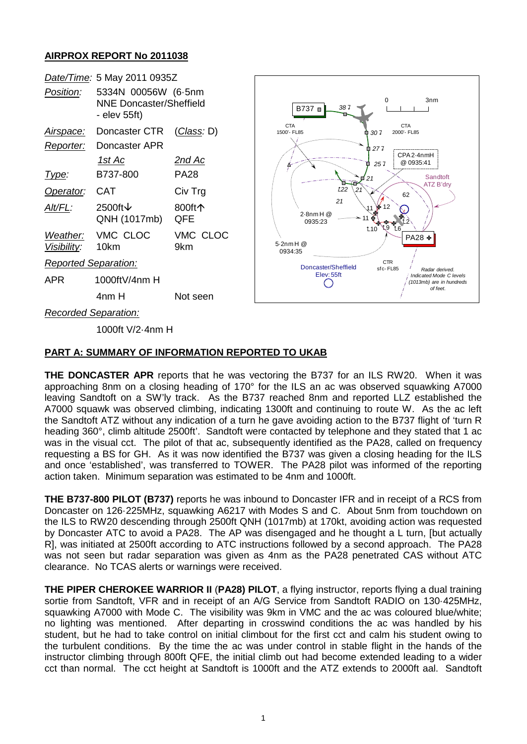## **AIRPROX REPORT No 2011038**

| Date/Time: 5 May 2011 0935Z  |                                                                |                    |
|------------------------------|----------------------------------------------------------------|--------------------|
| Position:                    | 5334N 00056W (6-5nm<br>NNE Doncaster/Sheffield<br>- elev 55ft) |                    |
| Airspace:                    | Doncaster CTR                                                  | <u>(Class</u> : D) |
| Reporter:                    | Doncaster APR                                                  |                    |
|                              | 1st Ac                                                         | 2nd Ac             |
| Type:                        | B737-800                                                       | PA28               |
| Operator:                    | <b>CAT</b>                                                     | Civ Trg            |
| Alt/FL:                      | 2500ft $\downarrow$<br>QNH (1017mb)                            | 800ft个<br>QFE      |
| Weather:<br>Visibility: 10km | VMC CLOC                                                       | VMC CLOC<br>9km    |
| <b>Reported Separation:</b>  |                                                                |                    |
| APR                          | 1000ftV/4nm H                                                  |                    |
|                              | 4nm H                                                          | Not seen           |



*Recorded Separation:*

1000ft V/2·4nm H

## **PART A: SUMMARY OF INFORMATION REPORTED TO UKAB**

**THE DONCASTER APR** reports that he was vectoring the B737 for an ILS RW20. When it was approaching 8nm on a closing heading of 170° for the ILS an ac was observed squawking A7000 leaving Sandtoft on a SW'ly track. As the B737 reached 8nm and reported LLZ established the A7000 squawk was observed climbing, indicating 1300ft and continuing to route W. As the ac left the Sandtoft ATZ without any indication of a turn he gave avoiding action to the B737 flight of 'turn R heading 360°, climb altitude 2500ft'. Sandtoft were contacted by telephone and they stated that 1 ac was in the visual cct. The pilot of that ac, subsequently identified as the PA28, called on frequency requesting a BS for GH. As it was now identified the B737 was given a closing heading for the ILS and once 'established', was transferred to TOWER. The PA28 pilot was informed of the reporting action taken. Minimum separation was estimated to be 4nm and 1000ft.

**THE B737-800 PILOT (B737)** reports he was inbound to Doncaster IFR and in receipt of a RCS from Doncaster on 126·225MHz, squawking A6217 with Modes S and C. About 5nm from touchdown on the ILS to RW20 descending through 2500ft QNH (1017mb) at 170kt, avoiding action was requested by Doncaster ATC to avoid a PA28. The AP was disengaged and he thought a L turn, [but actually R], was initiated at 2500ft according to ATC instructions followed by a second approach. The PA28 was not seen but radar separation was given as 4nm as the PA28 penetrated CAS without ATC clearance. No TCAS alerts or warnings were received.

**THE PIPER CHEROKEE WARRIOR II** (**PA28) PILOT**, a flying instructor, reports flying a dual training sortie from Sandtoft, VFR and in receipt of an A/G Service from Sandtoft RADIO on 130·425MHz, squawking A7000 with Mode C. The visibility was 9km in VMC and the ac was coloured blue/white; no lighting was mentioned. After departing in crosswind conditions the ac was handled by his student, but he had to take control on initial climbout for the first cct and calm his student owing to the turbulent conditions. By the time the ac was under control in stable flight in the hands of the instructor climbing through 800ft QFE, the initial climb out had become extended leading to a wider cct than normal. The cct height at Sandtoft is 1000ft and the ATZ extends to 2000ft aal. Sandtoft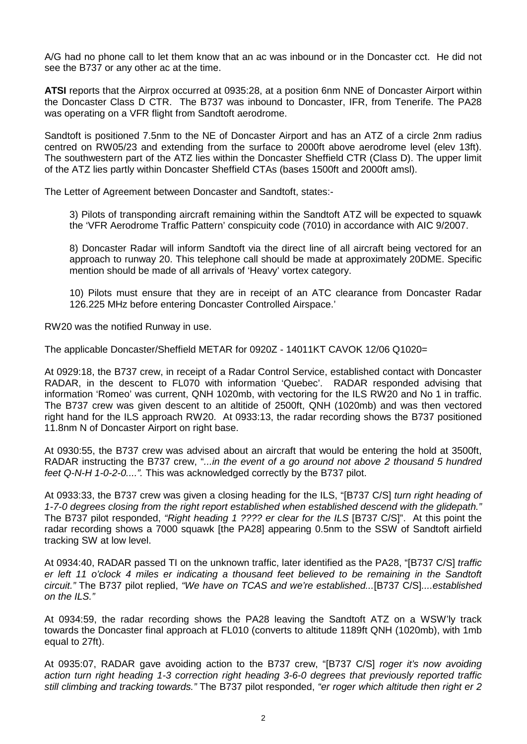A/G had no phone call to let them know that an ac was inbound or in the Doncaster cct. He did not see the B737 or any other ac at the time.

**ATSI** reports that the Airprox occurred at 0935:28, at a position 6nm NNE of Doncaster Airport within the Doncaster Class D CTR. The B737 was inbound to Doncaster, IFR, from Tenerife. The PA28 was operating on a VFR flight from Sandtoft aerodrome.

Sandtoft is positioned 7.5nm to the NE of Doncaster Airport and has an ATZ of a circle 2nm radius centred on RW05/23 and extending from the surface to 2000ft above aerodrome level (elev 13ft). The southwestern part of the ATZ lies within the Doncaster Sheffield CTR (Class D). The upper limit of the ATZ lies partly within Doncaster Sheffield CTAs (bases 1500ft and 2000ft amsl).

The Letter of Agreement between Doncaster and Sandtoft, states:-

3) Pilots of transponding aircraft remaining within the Sandtoft ATZ will be expected to squawk the 'VFR Aerodrome Traffic Pattern' conspicuity code (7010) in accordance with AIC 9/2007.

8) Doncaster Radar will inform Sandtoft via the direct line of all aircraft being vectored for an approach to runway 20. This telephone call should be made at approximately 20DME. Specific mention should be made of all arrivals of 'Heavy' vortex category.

10) Pilots must ensure that they are in receipt of an ATC clearance from Doncaster Radar 126.225 MHz before entering Doncaster Controlled Airspace.'

RW20 was the notified Runway in use.

The applicable Doncaster/Sheffield METAR for 0920Z - 14011KT CAVOK 12/06 Q1020=

At 0929:18, the B737 crew, in receipt of a Radar Control Service, established contact with Doncaster RADAR, in the descent to FL070 with information 'Quebec'. RADAR responded advising that information 'Romeo' was current, QNH 1020mb, with vectoring for the ILS RW20 and No 1 in traffic. The B737 crew was given descent to an altitide of 2500ft, QNH (1020mb) and was then vectored right hand for the ILS approach RW20. At 0933:13, the radar recording shows the B737 positioned 11.8nm N of Doncaster Airport on right base.

At 0930:55, the B737 crew was advised about an aircraft that would be entering the hold at 3500ft, RADAR instructing the B737 crew, "*...in the event of a go around not above 2 thousand 5 hundred feet Q-N-H 1-0-2-0....".* This was acknowledged correctly by the B737 pilot.

At 0933:33, the B737 crew was given a closing heading for the ILS, "[B737 C/S] *turn right heading of 1-7-0 degrees closing from the right report established when established descend with the glidepath."* The B737 pilot responded, *"Right heading 1 ???? er clear for the ILS* [B737 C/S]". At this point the radar recording shows a 7000 squawk [the PA28] appearing 0.5nm to the SSW of Sandtoft airfield tracking SW at low level.

At 0934:40, RADAR passed TI on the unknown traffic, later identified as the PA28, "[B737 C/S] *traffic er left 11 o'clock 4 miles er indicating a thousand feet believed to be remaining in the Sandtoft circuit."* The B737 pilot replied, *"We have on TCAS and we're established...*[B737 C/S]*....established on the ILS."*

At 0934:59, the radar recording shows the PA28 leaving the Sandtoft ATZ on a WSW'ly track towards the Doncaster final approach at FL010 (converts to altitude 1189ft QNH (1020mb), with 1mb equal to 27ft).

At 0935:07, RADAR gave avoiding action to the B737 crew, "[B737 C/S] *roger it's now avoiding action turn right heading 1-3 correction right heading 3-6-0 degrees that previously reported traffic still climbing and tracking towards."* The B737 pilot responded, *"er roger which altitude then right er 2*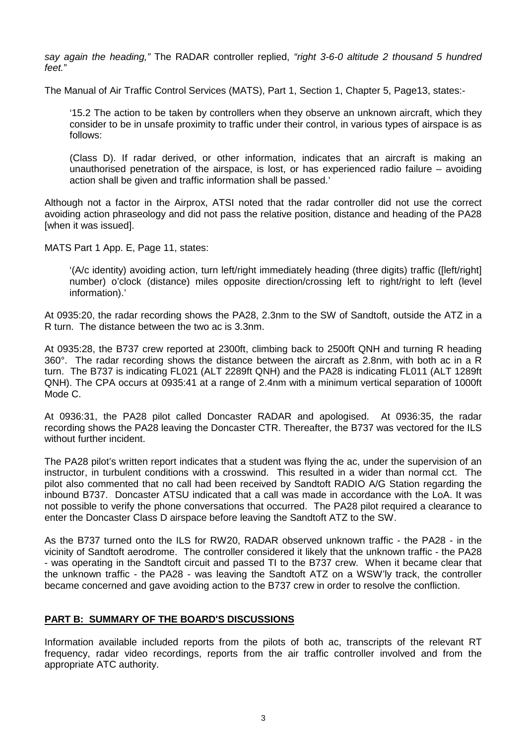*say again the heading,"* The RADAR controller replied, *"right 3-6-0 altitude 2 thousand 5 hundred feet.*"

The Manual of Air Traffic Control Services (MATS), Part 1, Section 1, Chapter 5, Page13, states:-

'15.2 The action to be taken by controllers when they observe an unknown aircraft, which they consider to be in unsafe proximity to traffic under their control, in various types of airspace is as follows:

(Class D). If radar derived, or other information, indicates that an aircraft is making an unauthorised penetration of the airspace, is lost, or has experienced radio failure – avoiding action shall be given and traffic information shall be passed.'

Although not a factor in the Airprox, ATSI noted that the radar controller did not use the correct avoiding action phraseology and did not pass the relative position, distance and heading of the PA28 [when it was issued].

MATS Part 1 App. E, Page 11, states:

'(A/c identity) avoiding action, turn left/right immediately heading (three digits) traffic ([left/right] number) o'clock (distance) miles opposite direction/crossing left to right/right to left (level information).'

At 0935:20, the radar recording shows the PA28, 2.3nm to the SW of Sandtoft, outside the ATZ in a R turn. The distance between the two ac is 3.3nm.

At 0935:28, the B737 crew reported at 2300ft, climbing back to 2500ft QNH and turning R heading 360°. The radar recording shows the distance between the aircraft as 2.8nm, with both ac in a R turn. The B737 is indicating FL021 (ALT 2289ft QNH) and the PA28 is indicating FL011 (ALT 1289ft QNH). The CPA occurs at 0935:41 at a range of 2.4nm with a minimum vertical separation of 1000ft Mode C.

At 0936:31, the PA28 pilot called Doncaster RADAR and apologised. At 0936:35, the radar recording shows the PA28 leaving the Doncaster CTR. Thereafter, the B737 was vectored for the ILS without further incident.

The PA28 pilot's written report indicates that a student was flying the ac, under the supervision of an instructor, in turbulent conditions with a crosswind. This resulted in a wider than normal cct. The pilot also commented that no call had been received by Sandtoft RADIO A/G Station regarding the inbound B737. Doncaster ATSU indicated that a call was made in accordance with the LoA. It was not possible to verify the phone conversations that occurred. The PA28 pilot required a clearance to enter the Doncaster Class D airspace before leaving the Sandtoft ATZ to the SW.

As the B737 turned onto the ILS for RW20, RADAR observed unknown traffic - the PA28 - in the vicinity of Sandtoft aerodrome. The controller considered it likely that the unknown traffic - the PA28 - was operating in the Sandtoft circuit and passed TI to the B737 crew. When it became clear that the unknown traffic - the PA28 - was leaving the Sandtoft ATZ on a WSW'ly track, the controller became concerned and gave avoiding action to the B737 crew in order to resolve the confliction.

## **PART B: SUMMARY OF THE BOARD'S DISCUSSIONS**

Information available included reports from the pilots of both ac, transcripts of the relevant RT frequency, radar video recordings, reports from the air traffic controller involved and from the appropriate ATC authority.